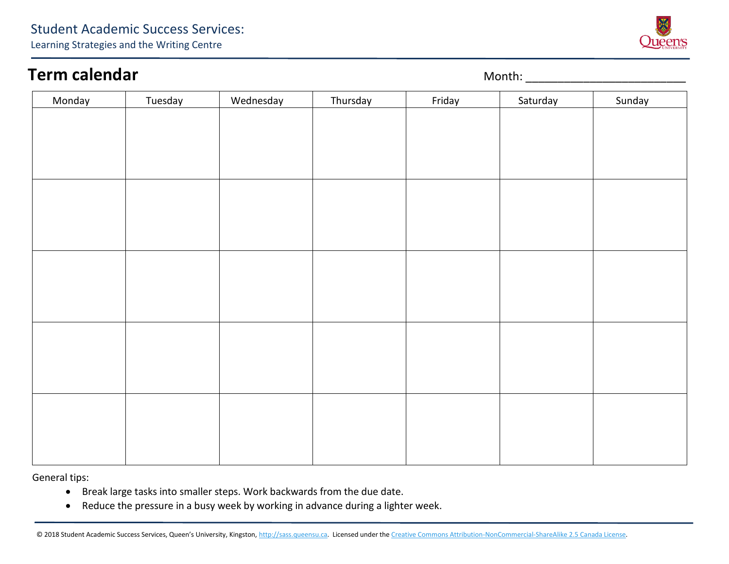## **Term calendar Term calendar Month:** 2008. Month: 2008. Month: 2008. Month: 2008. Month: 2008. Month: 2008. Month: 2008. Month: 2008. Month: 2008. Month: 2008. Month: 2008. Month: 2008. Month: 2008. Month: 2008. Month:

| Monday | Tuesday | Wednesday | Thursday | Friday | Saturday | Sunday |
|--------|---------|-----------|----------|--------|----------|--------|
|        |         |           |          |        |          |        |
|        |         |           |          |        |          |        |
|        |         |           |          |        |          |        |
|        |         |           |          |        |          |        |
|        |         |           |          |        |          |        |
|        |         |           |          |        |          |        |
|        |         |           |          |        |          |        |
|        |         |           |          |        |          |        |
|        |         |           |          |        |          |        |
|        |         |           |          |        |          |        |
|        |         |           |          |        |          |        |
|        |         |           |          |        |          |        |
|        |         |           |          |        |          |        |
|        |         |           |          |        |          |        |
|        |         |           |          |        |          |        |
|        |         |           |          |        |          |        |
|        |         |           |          |        |          |        |
|        |         |           |          |        |          |        |
|        |         |           |          |        |          |        |
|        |         |           |          |        |          |        |

General tips:

- Break large tasks into smaller steps. Work backwards from the due date.
- Reduce the pressure in a busy week by working in advance during a lighter week.